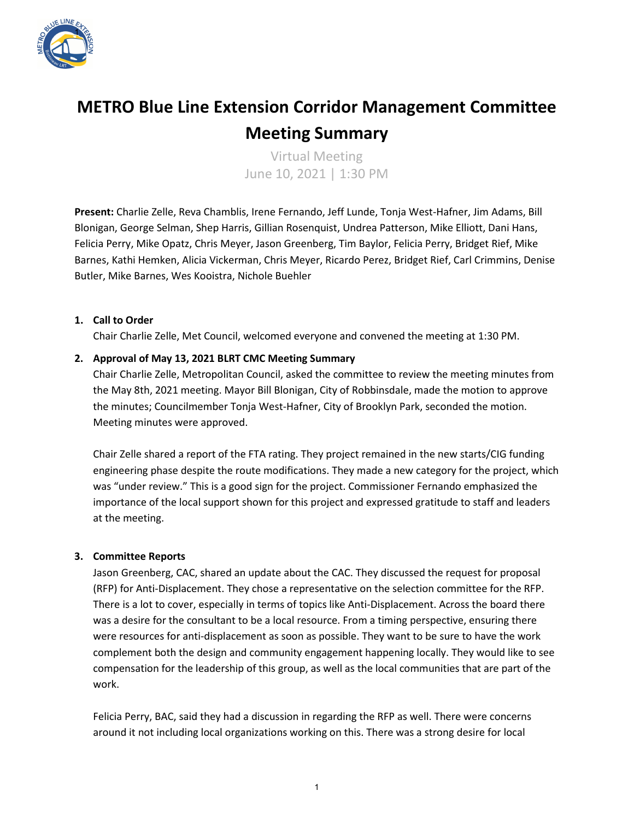

# **METRO Blue Line Extension Corridor Management Committee Meeting Summary**

Virtual Meeting June 10, 2021 | 1:30 PM

**Present:** Charlie Zelle, Reva Chamblis, Irene Fernando, Jeff Lunde, Tonja West-Hafner, Jim Adams, Bill Blonigan, George Selman, Shep Harris, Gillian Rosenquist, Undrea Patterson, Mike Elliott, Dani Hans, Felicia Perry, Mike Opatz, Chris Meyer, Jason Greenberg, Tim Baylor, Felicia Perry, Bridget Rief, Mike Barnes, Kathi Hemken, Alicia Vickerman, Chris Meyer, Ricardo Perez, Bridget Rief, Carl Crimmins, Denise Butler, Mike Barnes, Wes Kooistra, Nichole Buehler

# **1. Call to Order**

Chair Charlie Zelle, Met Council, welcomed everyone and convened the meeting at 1:30 PM.

# **2. Approval of May 13, 2021 BLRT CMC Meeting Summary**

Chair Charlie Zelle, Metropolitan Council, asked the committee to review the meeting minutes from the May 8th, 2021 meeting. Mayor Bill Blonigan, City of Robbinsdale, made the motion to approve the minutes; Councilmember Tonja West-Hafner, City of Brooklyn Park, seconded the motion. Meeting minutes were approved.

Chair Zelle shared a report of the FTA rating. They project remained in the new starts/CIG funding engineering phase despite the route modifications. They made a new category for the project, which was "under review." This is a good sign for the project. Commissioner Fernando emphasized the importance of the local support shown for this project and expressed gratitude to staff and leaders at the meeting.

## **3. Committee Reports**

Jason Greenberg, CAC, shared an update about the CAC. They discussed the request for proposal (RFP) for Anti-Displacement. They chose a representative on the selection committee for the RFP. There is a lot to cover, especially in terms of topics like Anti-Displacement. Across the board there was a desire for the consultant to be a local resource. From a timing perspective, ensuring there were resources for anti-displacement as soon as possible. They want to be sure to have the work complement both the design and community engagement happening locally. They would like to see compensation for the leadership of this group, as well as the local communities that are part of the work.

Felicia Perry, BAC, said they had a discussion in regarding the RFP as well. There were concerns around it not including local organizations working on this. There was a strong desire for local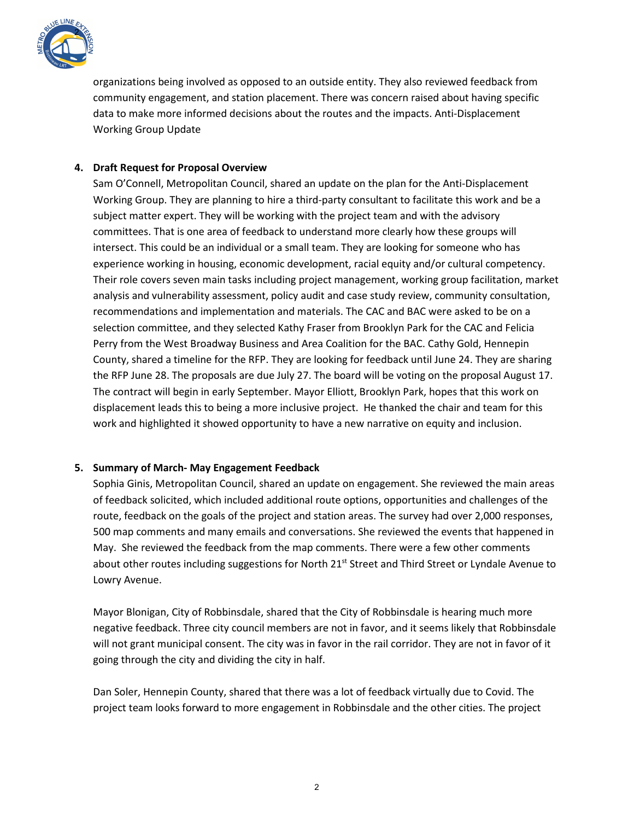

organizations being involved as opposed to an outside entity. They also reviewed feedback from community engagement, and station placement. There was concern raised about having specific data to make more informed decisions about the routes and the impacts. Anti-Displacement Working Group Update

# **4. Draft Request for Proposal Overview**

Sam O'Connell, Metropolitan Council, shared an update on the plan for the Anti-Displacement Working Group. They are planning to hire a third-party consultant to facilitate this work and be a subject matter expert. They will be working with the project team and with the advisory committees. That is one area of feedback to understand more clearly how these groups will intersect. This could be an individual or a small team. They are looking for someone who has experience working in housing, economic development, racial equity and/or cultural competency. Their role covers seven main tasks including project management, working group facilitation, market analysis and vulnerability assessment, policy audit and case study review, community consultation, recommendations and implementation and materials. The CAC and BAC were asked to be on a selection committee, and they selected Kathy Fraser from Brooklyn Park for the CAC and Felicia Perry from the West Broadway Business and Area Coalition for the BAC. Cathy Gold, Hennepin County, shared a timeline for the RFP. They are looking for feedback until June 24. They are sharing the RFP June 28. The proposals are due July 27. The board will be voting on the proposal August 17. The contract will begin in early September. Mayor Elliott, Brooklyn Park, hopes that this work on displacement leads this to being a more inclusive project. He thanked the chair and team for this work and highlighted it showed opportunity to have a new narrative on equity and inclusion.

## **5. Summary of March- May Engagement Feedback**

Sophia Ginis, Metropolitan Council, shared an update on engagement. She reviewed the main areas of feedback solicited, which included additional route options, opportunities and challenges of the route, feedback on the goals of the project and station areas. The survey had over 2,000 responses, 500 map comments and many emails and conversations. She reviewed the events that happened in May. She reviewed the feedback from the map comments. There were a few other comments about other routes including suggestions for North 21<sup>st</sup> Street and Third Street or Lyndale Avenue to Lowry Avenue.

Mayor Blonigan, City of Robbinsdale, shared that the City of Robbinsdale is hearing much more negative feedback. Three city council members are not in favor, and it seems likely that Robbinsdale will not grant municipal consent. The city was in favor in the rail corridor. They are not in favor of it going through the city and dividing the city in half.

Dan Soler, Hennepin County, shared that there was a lot of feedback virtually due to Covid. The project team looks forward to more engagement in Robbinsdale and the other cities. The project